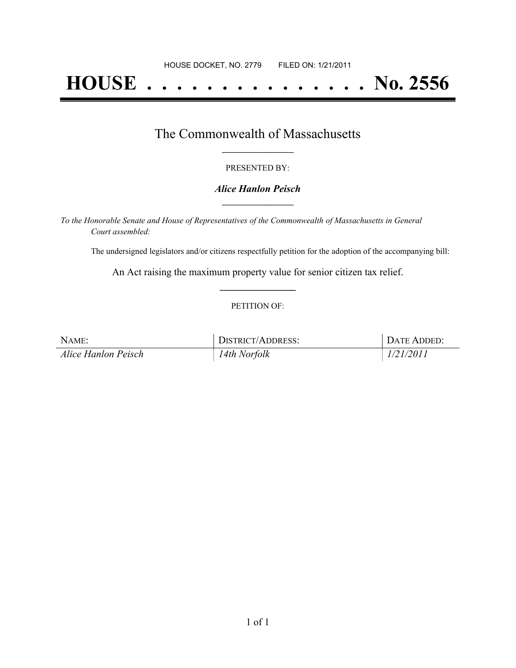# **HOUSE . . . . . . . . . . . . . . . No. 2556**

## The Commonwealth of Massachusetts **\_\_\_\_\_\_\_\_\_\_\_\_\_\_\_\_\_**

#### PRESENTED BY:

#### *Alice Hanlon Peisch* **\_\_\_\_\_\_\_\_\_\_\_\_\_\_\_\_\_**

*To the Honorable Senate and House of Representatives of the Commonwealth of Massachusetts in General Court assembled:*

The undersigned legislators and/or citizens respectfully petition for the adoption of the accompanying bill:

An Act raising the maximum property value for senior citizen tax relief. **\_\_\_\_\_\_\_\_\_\_\_\_\_\_\_**

#### PETITION OF:

| NAME:               | DISTRICT/ADDRESS: | DATE ADDED: |
|---------------------|-------------------|-------------|
| Alice Hanlon Peisch | 14th Norfolk      | 1/21/2011   |